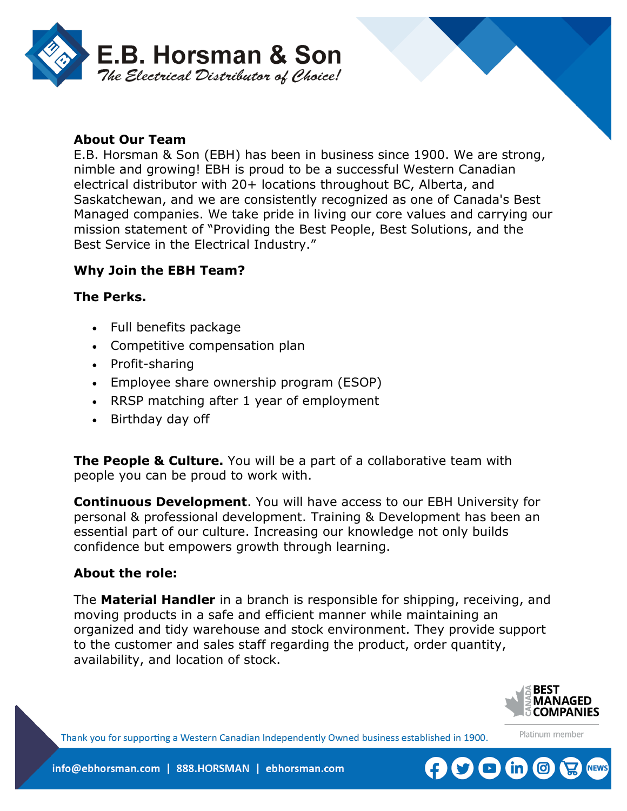

### **About Our Team**

E.B. Horsman & Son (EBH) has been in business since 1900. We are strong, nimble and growing! EBH is proud to be a successful Western Canadian electrical distributor with 20+ locations throughout BC, Alberta, and Saskatchewan, and we are consistently recognized as one of Canada's Best Managed companies. We take pride in living our core values and carrying our mission statement of "Providing the Best People, Best Solutions, and the Best Service in the Electrical Industry."

### **Why Join the EBH Team?**

#### **The Perks.**

- Full benefits package
- Competitive compensation plan
- Profit-sharing
- Employee share ownership program (ESOP)
- RRSP matching after 1 year of employment
- Birthday day off

**The People & Culture.** You will be a part of a collaborative team with people you can be proud to work with.

**Continuous Development**. You will have access to our EBH University for personal & professional development. Training & Development has been an essential part of our culture. Increasing our knowledge not only builds confidence but empowers growth through learning.

#### **About the role:**

The **Material Handler** in a branch is responsible for shipping, receiving, and moving products in a safe and efficient manner while maintaining an organized and tidy warehouse and stock environment. They provide support to the customer and sales staff regarding the product, order quantity, availability, and location of stock.



Platinum member

Thank you for supporting a Western Canadian Independently Owned business established in 1900.

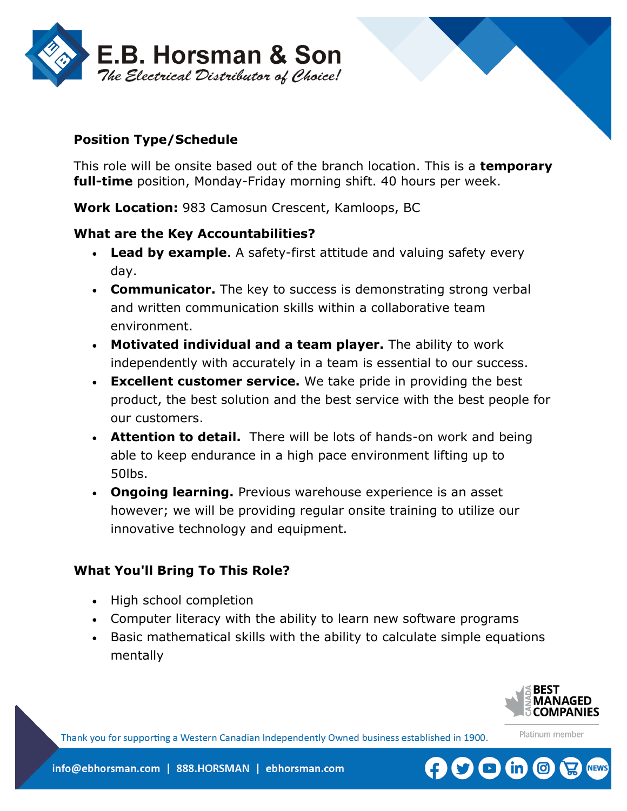

## **Position Type/Schedule**

This role will be onsite based out of the branch location. This is a **temporary full-time** position, Monday-Friday morning shift. 40 hours per week.

**Work Location:** 983 Camosun Crescent, Kamloops, BC

#### **What are the Key Accountabilities?**

- **Lead by example**. A safety-first attitude and valuing safety every day.
- **Communicator.** The key to success is demonstrating strong verbal and written communication skills within a collaborative team environment.
- **Motivated individual and a team player.** The ability to work independently with accurately in a team is essential to our success.
- **Excellent customer service.** We take pride in providing the best product, the best solution and the best service with the best people for our customers.
- **Attention to detail.** There will be lots of hands-on work and being able to keep endurance in a high pace environment lifting up to 50lbs.
- **Ongoing learning.** Previous warehouse experience is an asset however; we will be providing regular onsite training to utilize our innovative technology and equipment.

# **What You'll Bring To This Role?**

- High school completion
- Computer literacy with the ability to learn new software programs
- Basic mathematical skills with the ability to calculate simple equations mentally



Platinum member

Thank you for supporting a Western Canadian Independently Owned business established in 1900.